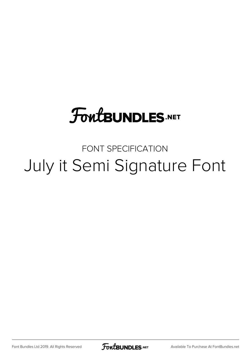## **FoutBUNDLES.NET**

FONT SPECIFICATION July it Semi Signature Font

Font Bundles Ltd 2019. All Rights Reserved

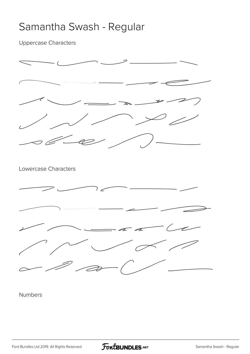## Samantha Swash - Regular

Uppercase Characters



Numbers

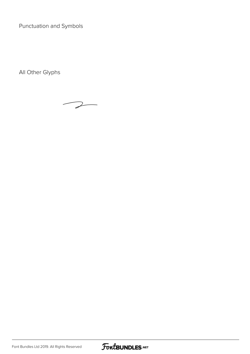Punctuation and Symbols

All Other Glyphs



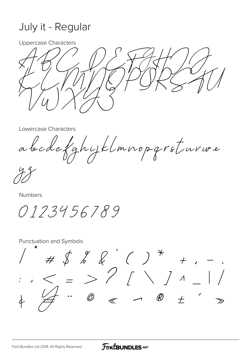## July it - Regular

**Uppercase Characters** 

Lowercase Characters

abcdefanijklmnopgrsturwe

Numbers

0123456789

**Punctuation and Symbols** 

 $\# \oint \mathcal{L} \mathcal{L} \quad \mathcal{L} \quad \mathcal{L} \quad \mathcal{L} \quad \mathcal{L} \quad \mathcal{L} \quad \mathcal{L} \quad \mathcal{L} \quad \mathcal{L} \quad \mathcal{L} \quad \mathcal{L} \quad \mathcal{L} \quad \mathcal{L} \quad \mathcal{L} \quad \mathcal{L} \quad \mathcal{L} \quad \mathcal{L} \quad \mathcal{L} \quad \mathcal{L} \quad \mathcal{L} \quad \mathcal{L} \quad \mathcal{L} \quad \mathcal{L} \quad \mathcal{L} \quad \mathcal{L} \quad \mathcal{L} \quad \math$  $\oslash$  $\overline{\phantom{a}}$  $\dddot{\bullet}$  $\overline{+}$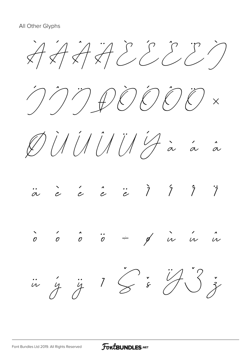$\overleftrightarrow{A}$   $\overleftrightarrow{A}$   $\overleftrightarrow{A}$   $\overleftrightarrow{C}$   $\overleftrightarrow{C}$   $\overleftrightarrow{C}$ Í Î ÏÐÒ Ó Ô Ö ×  $\emptyset$   $\emptyset$   $\emptyset$   $\emptyset$   $\emptyset$   $\emptyset$   $\emptyset$   $\emptyset$   $\emptyset$   $\emptyset$   $\emptyset$   $\emptyset$   $\emptyset$ ä è é ê ë ì í î ï ò ó ô ö ÷ ø ù ú û  $\ddot{u}$   $\ddot{y}$   $\ddot{y}$   $\ddot{z}$   $\ddot{z}$   $\ddot{z}$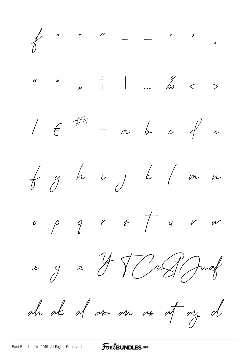

## FoutBUNDLES.NET